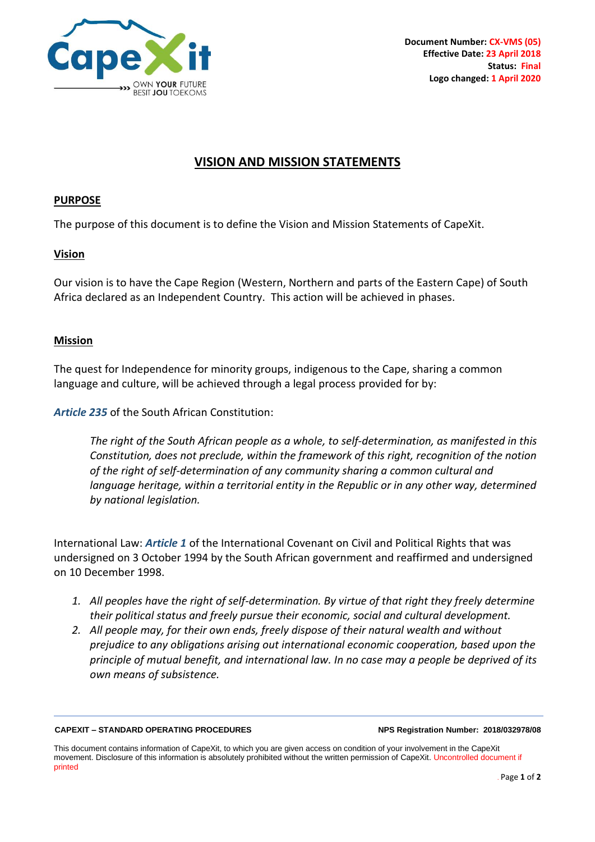

# **VISION AND MISSION STATEMENTS**

## **PURPOSE**

The purpose of this document is to define the Vision and Mission Statements of CapeXit.

## **Vision**

Our vision is to have the Cape Region (Western, Northern and parts of the Eastern Cape) of South Africa declared as an Independent Country. This action will be achieved in phases.

## **Mission**

The quest for Independence for minority groups, indigenous to the Cape, sharing a common language and culture, will be achieved through a legal process provided for by:

*Article 235* of the South African Constitution:

*The right of the South African people as a whole, to self-determination, as manifested in this Constitution, does not preclude, within the framework of this right, recognition of the notion of the right of self-determination of any community sharing a common cultural and language heritage, within a territorial entity in the Republic or in any other way, determined by national legislation.*

International Law: *Article 1* of the International Covenant on Civil and Political Rights that was undersigned on 3 October 1994 by the South African government and reaffirmed and undersigned on 10 December 1998.

- *1. All peoples have the right of self-determination. By virtue of that right they freely determine their political status and freely pursue their economic, social and cultural development.*
- *2. All people may, for their own ends, freely dispose of their natural wealth and without prejudice to any obligations arising out international economic cooperation, based upon the principle of mutual benefit, and international law. In no case may a people be deprived of its own means of subsistence.*

### **CAPEXIT – STANDARD OPERATING PROCEDURES NPS Registration Number: 2018/032978/08**

This document contains information of CapeXit, to which you are given access on condition of your involvement in the CapeXit movement. Disclosure of this information is absolutely prohibited without the written permission of CapeXit. Uncontrolled document if printed